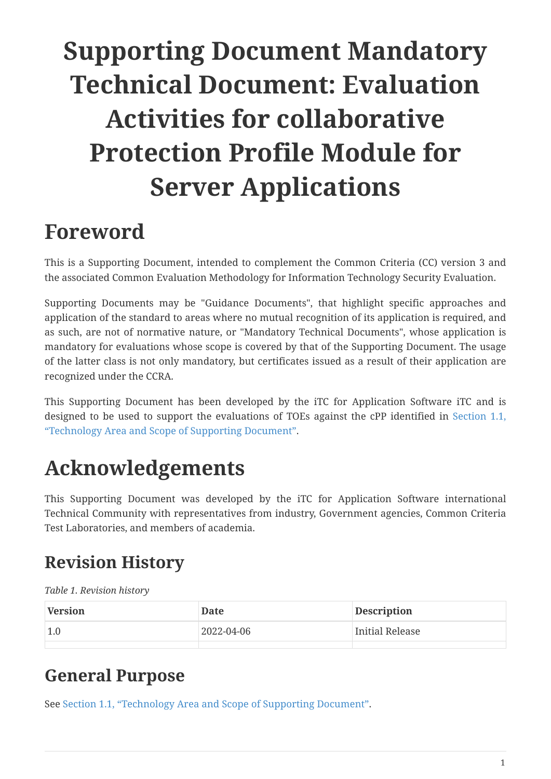# **Supporting Document Mandatory Technical Document: Evaluation Activities for collaborative Protection Profile Module for Server Applications**

## <span id="page-0-0"></span>**Foreword**

This is a Supporting Document, intended to complement the Common Criteria (CC) version 3 and the associated Common Evaluation Methodology for Information Technology Security Evaluation.

Supporting Documents may be "Guidance Documents", that highlight specific approaches and application of the standard to areas where no mutual recognition of its application is required, and as such, are not of normative nature, or "Mandatory Technical Documents", whose application is mandatory for evaluations whose scope is covered by that of the Supporting Document. The usage of the latter class is not only mandatory, but certificates issued as a result of their application are recognized under the CCRA.

This Supporting Document has been developed by the iTC for Application Software iTC and is designed to be used to support the evaluations of TOEs against the cPP identified in [Section 1.1,](#page-2-0) ["Technology Area and Scope of Supporting Document"](#page-2-0).

# <span id="page-0-1"></span>**Acknowledgements**

This Supporting Document was developed by the iTC for Application Software international Technical Community with representatives from industry, Government agencies, Common Criteria Test Laboratories, and members of academia.

## <span id="page-0-2"></span>**Revision History**

*Table 1. Revision history*

| Version | Date       | <b>Description</b> |
|---------|------------|--------------------|
| 1.0     | 2022-04-06 | Initial Release    |
|         |            |                    |

### <span id="page-0-3"></span>**General Purpose**

See [Section 1.1, "Technology Area and Scope of Supporting Document".](#page-2-0)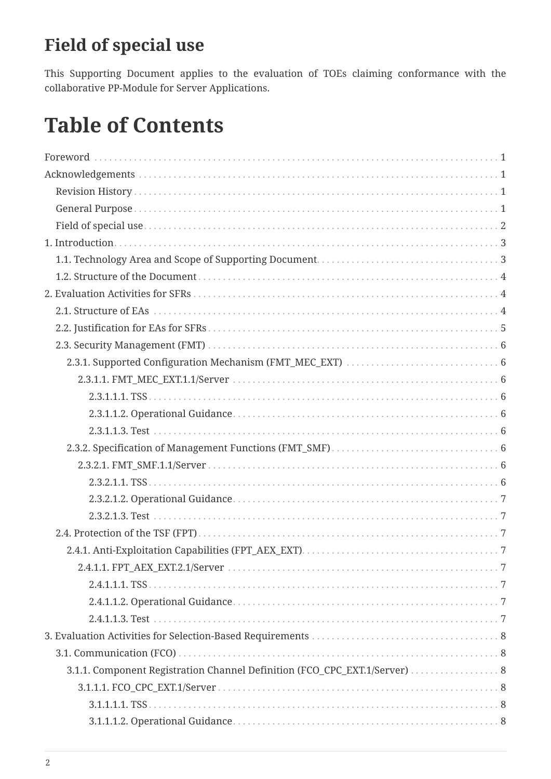## <span id="page-1-0"></span>**Field of special use**

This Supporting Document applies to the evaluation of TOEs claiming conformance with the collaborative PP-Module for Server Applications.

## **Table of Contents**

| 2.4.1.1.1. TSS.                                                           |
|---------------------------------------------------------------------------|
|                                                                           |
|                                                                           |
|                                                                           |
|                                                                           |
| 3.1.1. Component Registration Channel Definition (FCO_CPC_EXT.1/Server) 8 |
|                                                                           |
|                                                                           |
|                                                                           |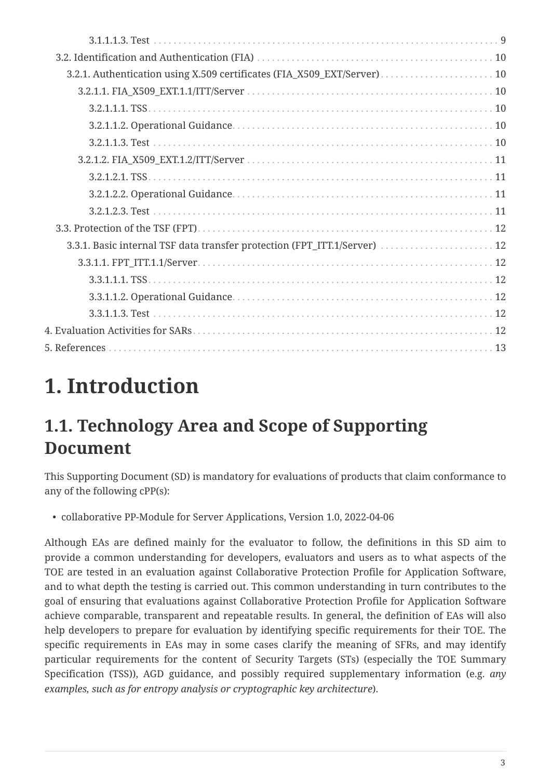| 3.3.1. Basic internal TSF data transfer protection (FPT_ITT.1/Server)  12 |  |
|---------------------------------------------------------------------------|--|
|                                                                           |  |
|                                                                           |  |
|                                                                           |  |
|                                                                           |  |
|                                                                           |  |
|                                                                           |  |
|                                                                           |  |

# <span id="page-2-1"></span>**1. Introduction**

## <span id="page-2-0"></span>**1.1. Technology Area and Scope of Supporting Document**

This Supporting Document (SD) is mandatory for evaluations of products that claim conformance to any of the following cPP(s):

• collaborative PP-Module for Server Applications, Version 1.0, 2022-04-06

Although EAs are defined mainly for the evaluator to follow, the definitions in this SD aim to provide a common understanding for developers, evaluators and users as to what aspects of the TOE are tested in an evaluation against Collaborative Protection Profile for Application Software, and to what depth the testing is carried out. This common understanding in turn contributes to the goal of ensuring that evaluations against Collaborative Protection Profile for Application Software achieve comparable, transparent and repeatable results. In general, the definition of EAs will also help developers to prepare for evaluation by identifying specific requirements for their TOE. The specific requirements in EAs may in some cases clarify the meaning of SFRs, and may identify particular requirements for the content of Security Targets (STs) (especially the TOE Summary Specification (TSS)), AGD guidance, and possibly required supplementary information (e.g. *any examples, such as for entropy analysis or cryptographic key architecture*).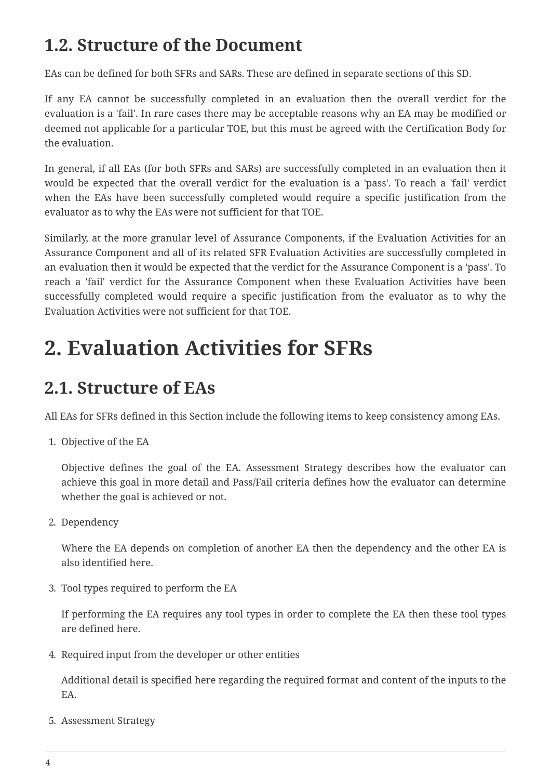## <span id="page-3-0"></span>**1.2. Structure of the Document**

EAs can be defined for both SFRs and SARs. These are defined in separate sections of this SD.

If any EA cannot be successfully completed in an evaluation then the overall verdict for the evaluation is a 'fail'. In rare cases there may be acceptable reasons why an EA may be modified or deemed not applicable for a particular TOE, but this must be agreed with the Certification Body for the evaluation.

In general, if all EAs (for both SFRs and SARs) are successfully completed in an evaluation then it would be expected that the overall verdict for the evaluation is a 'pass'. To reach a 'fail' verdict when the EAs have been successfully completed would require a specific justification from the evaluator as to why the EAs were not sufficient for that TOE.

Similarly, at the more granular level of Assurance Components, if the Evaluation Activities for an Assurance Component and all of its related SFR Evaluation Activities are successfully completed in an evaluation then it would be expected that the verdict for the Assurance Component is a 'pass'. To reach a 'fail' verdict for the Assurance Component when these Evaluation Activities have been successfully completed would require a specific justification from the evaluator as to why the Evaluation Activities were not sufficient for that TOE.

## <span id="page-3-1"></span>**2. Evaluation Activities for SFRs**

## <span id="page-3-2"></span>**2.1. Structure of EAs**

All EAs for SFRs defined in this Section include the following items to keep consistency among EAs.

1. Objective of the EA

Objective defines the goal of the EA. Assessment Strategy describes how the evaluator can achieve this goal in more detail and Pass/Fail criteria defines how the evaluator can determine whether the goal is achieved or not.

2. Dependency

Where the EA depends on completion of another EA then the dependency and the other EA is also identified here.

3. Tool types required to perform the EA

If performing the EA requires any tool types in order to complete the EA then these tool types are defined here.

4. Required input from the developer or other entities

Additional detail is specified here regarding the required format and content of the inputs to the EA.

5. Assessment Strategy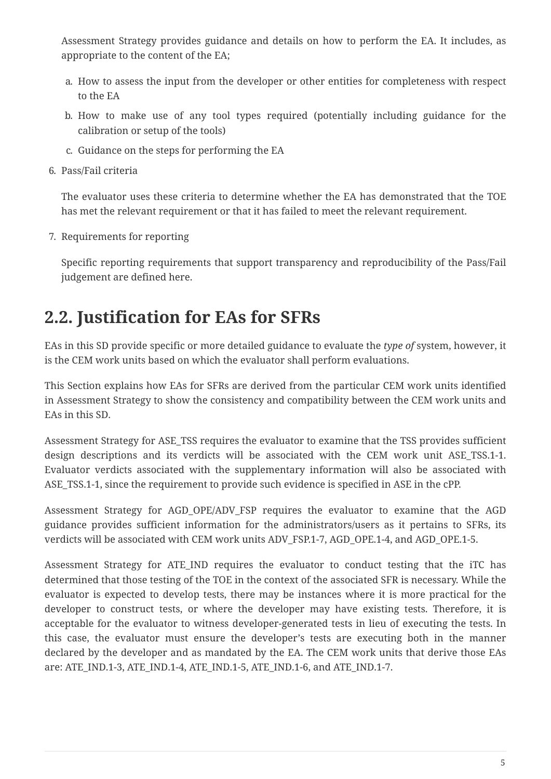Assessment Strategy provides guidance and details on how to perform the EA. It includes, as appropriate to the content of the EA;

- a. How to assess the input from the developer or other entities for completeness with respect to the EA
- b. How to make use of any tool types required (potentially including guidance for the calibration or setup of the tools)
- c. Guidance on the steps for performing the EA
- 6. Pass/Fail criteria

The evaluator uses these criteria to determine whether the EA has demonstrated that the TOE has met the relevant requirement or that it has failed to meet the relevant requirement.

7. Requirements for reporting

Specific reporting requirements that support transparency and reproducibility of the Pass/Fail judgement are defined here.

### <span id="page-4-0"></span>**2.2. Justification for EAs for SFRs**

EAs in this SD provide specific or more detailed guidance to evaluate the *type of* system, however, it is the CEM work units based on which the evaluator shall perform evaluations.

This Section explains how EAs for SFRs are derived from the particular CEM work units identified in Assessment Strategy to show the consistency and compatibility between the CEM work units and EAs in this SD.

Assessment Strategy for ASE\_TSS requires the evaluator to examine that the TSS provides sufficient design descriptions and its verdicts will be associated with the CEM work unit ASE\_TSS.1-1. Evaluator verdicts associated with the supplementary information will also be associated with ASE\_TSS.1-1, since the requirement to provide such evidence is specified in ASE in the cPP.

Assessment Strategy for AGD\_OPE/ADV\_FSP requires the evaluator to examine that the AGD guidance provides sufficient information for the administrators/users as it pertains to SFRs, its verdicts will be associated with CEM work units ADV\_FSP.1-7, AGD\_OPE.1-4, and AGD\_OPE.1-5.

Assessment Strategy for ATE\_IND requires the evaluator to conduct testing that the iTC has determined that those testing of the TOE in the context of the associated SFR is necessary. While the evaluator is expected to develop tests, there may be instances where it is more practical for the developer to construct tests, or where the developer may have existing tests. Therefore, it is acceptable for the evaluator to witness developer-generated tests in lieu of executing the tests. In this case, the evaluator must ensure the developer's tests are executing both in the manner declared by the developer and as mandated by the EA. The CEM work units that derive those EAs are: ATE\_IND.1-3, ATE\_IND.1-4, ATE\_IND.1-5, ATE\_IND.1-6, and ATE\_IND.1-7.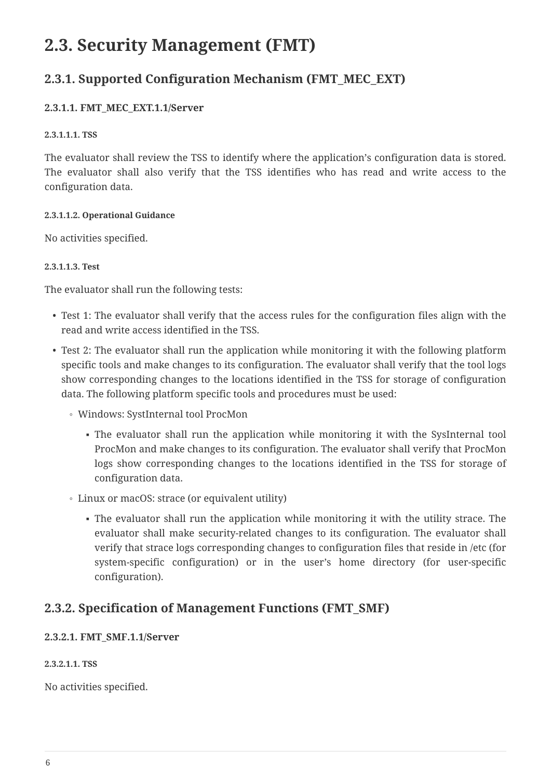### <span id="page-5-0"></span>**2.3. Security Management (FMT)**

### <span id="page-5-1"></span>**2.3.1. Supported Configuration Mechanism (FMT\_MEC\_EXT)**

### <span id="page-5-2"></span>**2.3.1.1. FMT\_MEC\_EXT.1.1/Server**

#### <span id="page-5-3"></span>**2.3.1.1.1. TSS**

The evaluator shall review the TSS to identify where the application's configuration data is stored. The evaluator shall also verify that the TSS identifies who has read and write access to the configuration data.

### <span id="page-5-4"></span>**2.3.1.1.2. Operational Guidance**

No activities specified.

### <span id="page-5-5"></span>**2.3.1.1.3. Test**

The evaluator shall run the following tests:

- Test 1: The evaluator shall verify that the access rules for the configuration files align with the read and write access identified in the TSS.
- Test 2: The evaluator shall run the application while monitoring it with the following platform specific tools and make changes to its configuration. The evaluator shall verify that the tool logs show corresponding changes to the locations identified in the TSS for storage of configuration data. The following platform specific tools and procedures must be used:
	- Windows: SystInternal tool ProcMon
		- The evaluator shall run the application while monitoring it with the SysInternal tool ProcMon and make changes to its configuration. The evaluator shall verify that ProcMon logs show corresponding changes to the locations identified in the TSS for storage of configuration data.
	- Linux or macOS: strace (or equivalent utility)
		- The evaluator shall run the application while monitoring it with the utility strace. The evaluator shall make security-related changes to its configuration. The evaluator shall verify that strace logs corresponding changes to configuration files that reside in /etc (for system-specific configuration) or in the user's home directory (for user-specific configuration).

### <span id="page-5-6"></span>**2.3.2. Specification of Management Functions (FMT\_SMF)**

### <span id="page-5-7"></span>**2.3.2.1. FMT\_SMF.1.1/Server**

#### <span id="page-5-8"></span>**2.3.2.1.1. TSS**

No activities specified.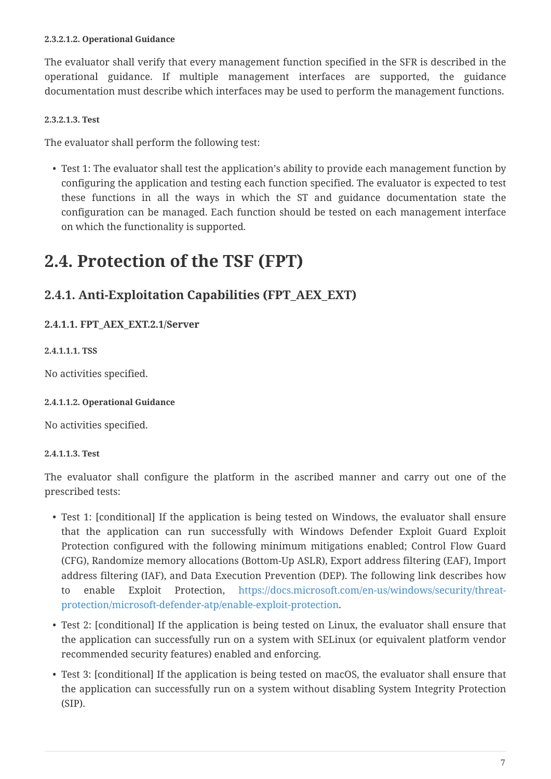#### <span id="page-6-0"></span>**2.3.2.1.2. Operational Guidance**

The evaluator shall verify that every management function specified in the SFR is described in the operational guidance. If multiple management interfaces are supported, the guidance documentation must describe which interfaces may be used to perform the management functions.

#### <span id="page-6-1"></span>**2.3.2.1.3. Test**

The evaluator shall perform the following test:

• Test 1: The evaluator shall test the application's ability to provide each management function by configuring the application and testing each function specified. The evaluator is expected to test these functions in all the ways in which the ST and guidance documentation state the configuration can be managed. Each function should be tested on each management interface on which the functionality is supported.

### <span id="page-6-2"></span>**2.4. Protection of the TSF (FPT)**

### <span id="page-6-3"></span>**2.4.1. Anti-Exploitation Capabilities (FPT\_AEX\_EXT)**

<span id="page-6-4"></span>**2.4.1.1. FPT\_AEX\_EXT.2.1/Server**

<span id="page-6-5"></span>**2.4.1.1.1. TSS**

No activities specified.

#### <span id="page-6-6"></span>**2.4.1.1.2. Operational Guidance**

No activities specified.

#### <span id="page-6-7"></span>**2.4.1.1.3. Test**

The evaluator shall configure the platform in the ascribed manner and carry out one of the prescribed tests:

- Test 1: [conditional] If the application is being tested on Windows, the evaluator shall ensure that the application can run successfully with Windows Defender Exploit Guard Exploit Protection configured with the following minimum mitigations enabled; Control Flow Guard (CFG), Randomize memory allocations (Bottom-Up ASLR), Export address filtering (EAF), Import address filtering (IAF), and Data Execution Prevention (DEP). The following link describes how to enable Exploit Protection, [https://docs.microsoft.com/en-us/windows/security/threat](https://docs.microsoft.com/en-us/windows/security/threat-protection/microsoft-defender-atp/enable-exploit-protection)[protection/microsoft-defender-atp/enable-exploit-protection](https://docs.microsoft.com/en-us/windows/security/threat-protection/microsoft-defender-atp/enable-exploit-protection).
- Test 2: [conditional] If the application is being tested on Linux, the evaluator shall ensure that the application can successfully run on a system with SELinux (or equivalent platform vendor recommended security features) enabled and enforcing.
- Test 3: [conditional] If the application is being tested on macOS, the evaluator shall ensure that the application can successfully run on a system without disabling System Integrity Protection (SIP).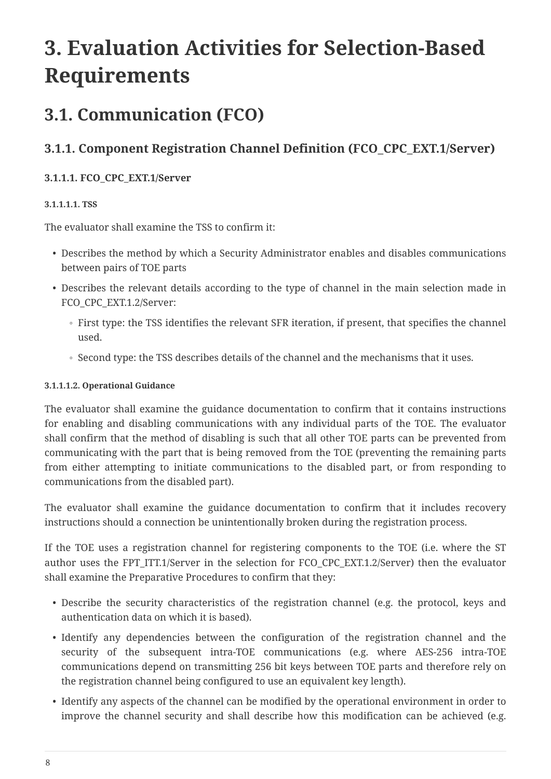# <span id="page-7-0"></span>**3. Evaluation Activities for Selection-Based Requirements**

## <span id="page-7-1"></span>**3.1. Communication (FCO)**

### <span id="page-7-2"></span>**3.1.1. Component Registration Channel Definition (FCO\_CPC\_EXT.1/Server)**

### <span id="page-7-3"></span>**3.1.1.1. FCO\_CPC\_EXT.1/Server**

### <span id="page-7-4"></span>**3.1.1.1.1. TSS**

The evaluator shall examine the TSS to confirm it:

- Describes the method by which a Security Administrator enables and disables communications between pairs of TOE parts
- Describes the relevant details according to the type of channel in the main selection made in FCO\_CPC\_EXT.1.2/Server:
	- First type: the TSS identifies the relevant SFR iteration, if present, that specifies the channel used.
	- Second type: the TSS describes details of the channel and the mechanisms that it uses.

#### <span id="page-7-5"></span>**3.1.1.1.2. Operational Guidance**

The evaluator shall examine the guidance documentation to confirm that it contains instructions for enabling and disabling communications with any individual parts of the TOE. The evaluator shall confirm that the method of disabling is such that all other TOE parts can be prevented from communicating with the part that is being removed from the TOE (preventing the remaining parts from either attempting to initiate communications to the disabled part, or from responding to communications from the disabled part).

The evaluator shall examine the guidance documentation to confirm that it includes recovery instructions should a connection be unintentionally broken during the registration process.

If the TOE uses a registration channel for registering components to the TOE (i.e. where the ST author uses the FPT ITT.1/Server in the selection for FCO CPC EXT.1.2/Server) then the evaluator shall examine the Preparative Procedures to confirm that they:

- Describe the security characteristics of the registration channel (e.g. the protocol, keys and authentication data on which it is based).
- Identify any dependencies between the configuration of the registration channel and the security of the subsequent intra-TOE communications (e.g. where AES-256 intra-TOE communications depend on transmitting 256 bit keys between TOE parts and therefore rely on the registration channel being configured to use an equivalent key length).
- Identify any aspects of the channel can be modified by the operational environment in order to improve the channel security and shall describe how this modification can be achieved (e.g.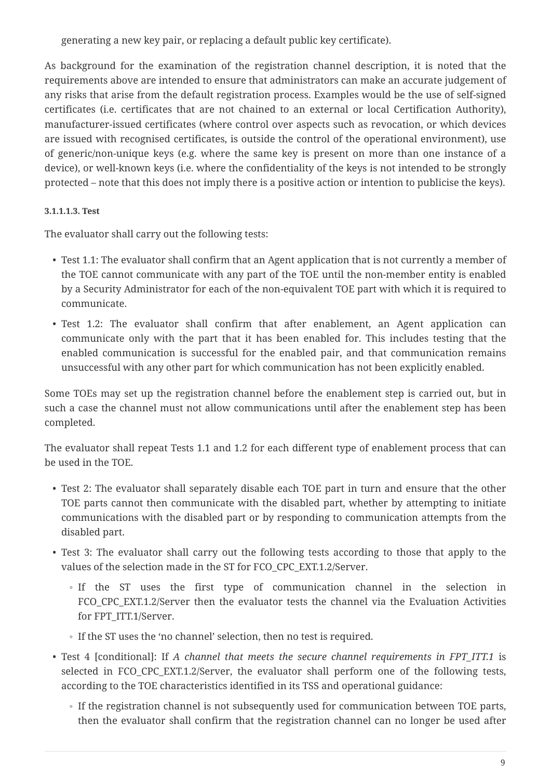generating a new key pair, or replacing a default public key certificate).

As background for the examination of the registration channel description, it is noted that the requirements above are intended to ensure that administrators can make an accurate judgement of any risks that arise from the default registration process. Examples would be the use of self-signed certificates (i.e. certificates that are not chained to an external or local Certification Authority), manufacturer-issued certificates (where control over aspects such as revocation, or which devices are issued with recognised certificates, is outside the control of the operational environment), use of generic/non-unique keys (e.g. where the same key is present on more than one instance of a device), or well-known keys (i.e. where the confidentiality of the keys is not intended to be strongly protected – note that this does not imply there is a positive action or intention to publicise the keys).

### <span id="page-8-0"></span>**3.1.1.1.3. Test**

The evaluator shall carry out the following tests:

- Test 1.1: The evaluator shall confirm that an Agent application that is not currently a member of the TOE cannot communicate with any part of the TOE until the non-member entity is enabled by a Security Administrator for each of the non-equivalent TOE part with which it is required to communicate.
- Test 1.2: The evaluator shall confirm that after enablement, an Agent application can communicate only with the part that it has been enabled for. This includes testing that the enabled communication is successful for the enabled pair, and that communication remains unsuccessful with any other part for which communication has not been explicitly enabled.

Some TOEs may set up the registration channel before the enablement step is carried out, but in such a case the channel must not allow communications until after the enablement step has been completed.

The evaluator shall repeat Tests 1.1 and 1.2 for each different type of enablement process that can be used in the TOE.

- Test 2: The evaluator shall separately disable each TOE part in turn and ensure that the other TOE parts cannot then communicate with the disabled part, whether by attempting to initiate communications with the disabled part or by responding to communication attempts from the disabled part.
- Test 3: The evaluator shall carry out the following tests according to those that apply to the values of the selection made in the ST for FCO\_CPC\_EXT.1.2/Server.
	- If the ST uses the first type of communication channel in the selection in FCO\_CPC\_EXT.1.2/Server then the evaluator tests the channel via the Evaluation Activities for FPT\_ITT.1/Server.
	- If the ST uses the 'no channel' selection, then no test is required.
- Test 4 [conditional]: If *A channel that meets the secure channel requirements in FPT\_ITT.1* is selected in FCO\_CPC\_EXT.1.2/Server, the evaluator shall perform one of the following tests, according to the TOE characteristics identified in its TSS and operational guidance:
	- If the registration channel is not subsequently used for communication between TOE parts, then the evaluator shall confirm that the registration channel can no longer be used after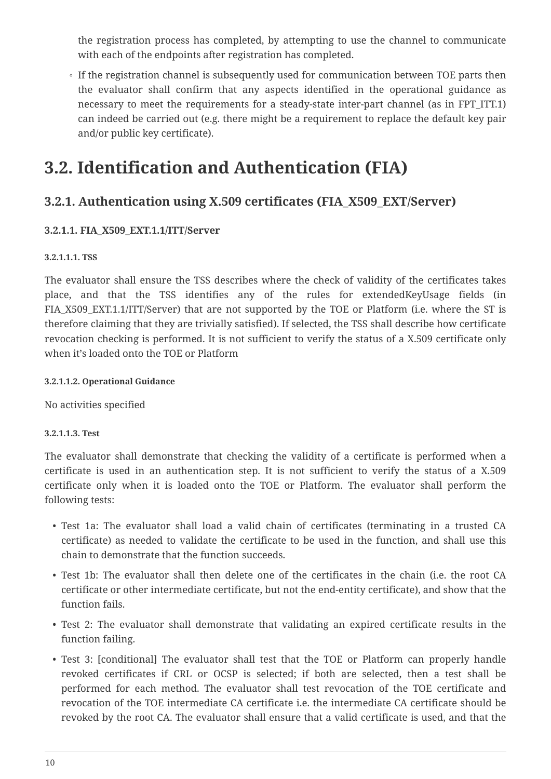the registration process has completed, by attempting to use the channel to communicate with each of the endpoints after registration has completed.

◦ If the registration channel is subsequently used for communication between TOE parts then the evaluator shall confirm that any aspects identified in the operational guidance as necessary to meet the requirements for a steady-state inter-part channel (as in FPT\_ITT.1) can indeed be carried out (e.g. there might be a requirement to replace the default key pair and/or public key certificate).

### <span id="page-9-0"></span>**3.2. Identification and Authentication (FIA)**

### <span id="page-9-1"></span>**3.2.1. Authentication using X.509 certificates (FIA\_X509\_EXT/Server)**

### <span id="page-9-2"></span>**3.2.1.1. FIA\_X509\_EXT.1.1/ITT/Server**

#### <span id="page-9-3"></span>**3.2.1.1.1. TSS**

The evaluator shall ensure the TSS describes where the check of validity of the certificates takes place, and that the TSS identifies any of the rules for extendedKeyUsage fields (in FIA X509 EXT.1.1/ITT/Server) that are not supported by the TOE or Platform (i.e. where the ST is therefore claiming that they are trivially satisfied). If selected, the TSS shall describe how certificate revocation checking is performed. It is not sufficient to verify the status of a X.509 certificate only when it's loaded onto the TOE or Platform

#### <span id="page-9-4"></span>**3.2.1.1.2. Operational Guidance**

No activities specified

#### <span id="page-9-5"></span>**3.2.1.1.3. Test**

The evaluator shall demonstrate that checking the validity of a certificate is performed when a certificate is used in an authentication step. It is not sufficient to verify the status of a X.509 certificate only when it is loaded onto the TOE or Platform. The evaluator shall perform the following tests:

- Test 1a: The evaluator shall load a valid chain of certificates (terminating in a trusted CA certificate) as needed to validate the certificate to be used in the function, and shall use this chain to demonstrate that the function succeeds.
- Test 1b: The evaluator shall then delete one of the certificates in the chain (i.e. the root CA certificate or other intermediate certificate, but not the end-entity certificate), and show that the function fails.
- Test 2: The evaluator shall demonstrate that validating an expired certificate results in the function failing.
- Test 3: [conditional] The evaluator shall test that the TOE or Platform can properly handle revoked certificates if CRL or OCSP is selected; if both are selected, then a test shall be performed for each method. The evaluator shall test revocation of the TOE certificate and revocation of the TOE intermediate CA certificate i.e. the intermediate CA certificate should be revoked by the root CA. The evaluator shall ensure that a valid certificate is used, and that the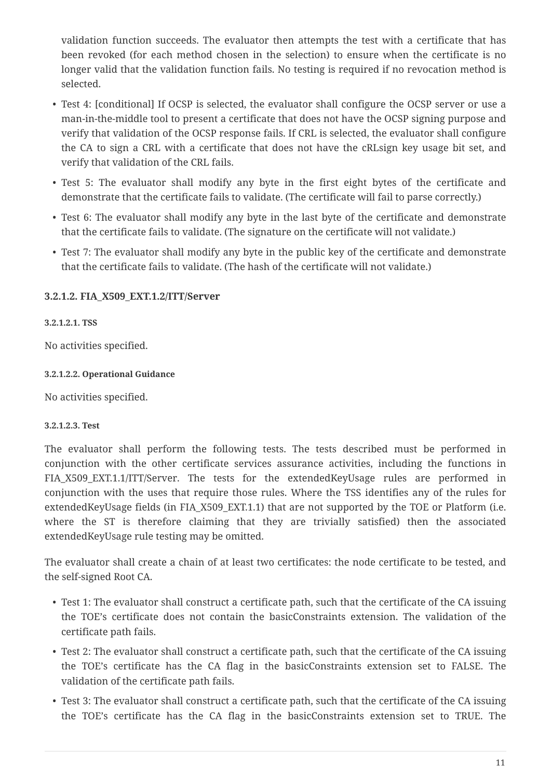validation function succeeds. The evaluator then attempts the test with a certificate that has been revoked (for each method chosen in the selection) to ensure when the certificate is no longer valid that the validation function fails. No testing is required if no revocation method is selected.

- Test 4: [conditional] If OCSP is selected, the evaluator shall configure the OCSP server or use a man-in-the-middle tool to present a certificate that does not have the OCSP signing purpose and verify that validation of the OCSP response fails. If CRL is selected, the evaluator shall configure the CA to sign a CRL with a certificate that does not have the cRLsign key usage bit set, and verify that validation of the CRL fails.
- Test 5: The evaluator shall modify any byte in the first eight bytes of the certificate and demonstrate that the certificate fails to validate. (The certificate will fail to parse correctly.)
- Test 6: The evaluator shall modify any byte in the last byte of the certificate and demonstrate that the certificate fails to validate. (The signature on the certificate will not validate.)
- Test 7: The evaluator shall modify any byte in the public key of the certificate and demonstrate that the certificate fails to validate. (The hash of the certificate will not validate.)

### <span id="page-10-0"></span>**3.2.1.2. FIA\_X509\_EXT.1.2/ITT/Server**

### <span id="page-10-1"></span>**3.2.1.2.1. TSS**

No activities specified.

#### <span id="page-10-2"></span>**3.2.1.2.2. Operational Guidance**

No activities specified.

#### <span id="page-10-3"></span>**3.2.1.2.3. Test**

The evaluator shall perform the following tests. The tests described must be performed in conjunction with the other certificate services assurance activities, including the functions in FIA\_X509\_EXT.1.1/ITT/Server. The tests for the extendedKeyUsage rules are performed in conjunction with the uses that require those rules. Where the TSS identifies any of the rules for extendedKeyUsage fields (in FIA\_X509\_EXT.1.1) that are not supported by the TOE or Platform (i.e. where the ST is therefore claiming that they are trivially satisfied) then the associated extendedKeyUsage rule testing may be omitted.

The evaluator shall create a chain of at least two certificates: the node certificate to be tested, and the self-signed Root CA.

- Test 1: The evaluator shall construct a certificate path, such that the certificate of the CA issuing the TOE's certificate does not contain the basicConstraints extension. The validation of the certificate path fails.
- Test 2: The evaluator shall construct a certificate path, such that the certificate of the CA issuing the TOE's certificate has the CA flag in the basicConstraints extension set to FALSE. The validation of the certificate path fails.
- Test 3: The evaluator shall construct a certificate path, such that the certificate of the CA issuing the TOE's certificate has the CA flag in the basicConstraints extension set to TRUE. The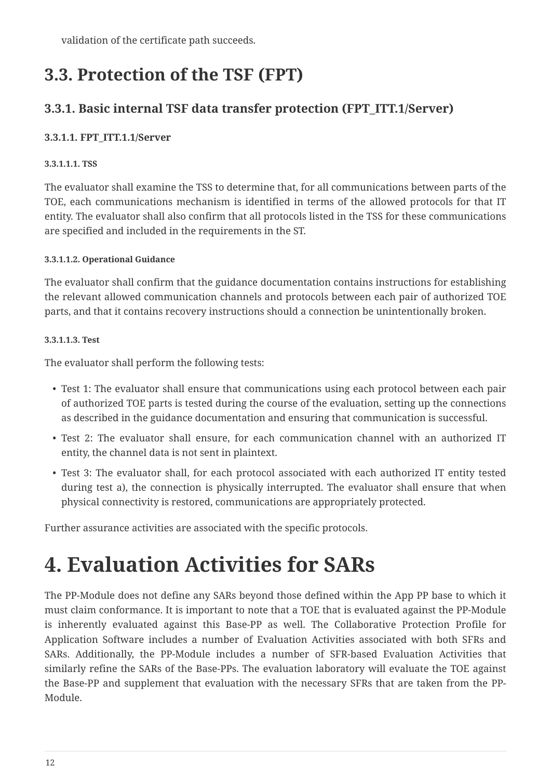validation of the certificate path succeeds.

### <span id="page-11-0"></span>**3.3. Protection of the TSF (FPT)**

### <span id="page-11-1"></span>**3.3.1. Basic internal TSF data transfer protection (FPT\_ITT.1/Server)**

### <span id="page-11-2"></span>**3.3.1.1. FPT\_ITT.1.1/Server**

### <span id="page-11-3"></span>**3.3.1.1.1. TSS**

The evaluator shall examine the TSS to determine that, for all communications between parts of the TOE, each communications mechanism is identified in terms of the allowed protocols for that IT entity. The evaluator shall also confirm that all protocols listed in the TSS for these communications are specified and included in the requirements in the ST.

### <span id="page-11-4"></span>**3.3.1.1.2. Operational Guidance**

The evaluator shall confirm that the guidance documentation contains instructions for establishing the relevant allowed communication channels and protocols between each pair of authorized TOE parts, and that it contains recovery instructions should a connection be unintentionally broken.

### <span id="page-11-5"></span>**3.3.1.1.3. Test**

The evaluator shall perform the following tests:

- Test 1: The evaluator shall ensure that communications using each protocol between each pair of authorized TOE parts is tested during the course of the evaluation, setting up the connections as described in the guidance documentation and ensuring that communication is successful.
- Test 2: The evaluator shall ensure, for each communication channel with an authorized IT entity, the channel data is not sent in plaintext.
- Test 3: The evaluator shall, for each protocol associated with each authorized IT entity tested during test a), the connection is physically interrupted. The evaluator shall ensure that when physical connectivity is restored, communications are appropriately protected.

Further assurance activities are associated with the specific protocols.

# <span id="page-11-6"></span>**4. Evaluation Activities for SARs**

The PP-Module does not define any SARs beyond those defined within the App PP base to which it must claim conformance. It is important to note that a TOE that is evaluated against the PP-Module is inherently evaluated against this Base-PP as well. The Collaborative Protection Profile for Application Software includes a number of Evaluation Activities associated with both SFRs and SARs. Additionally, the PP-Module includes a number of SFR-based Evaluation Activities that similarly refine the SARs of the Base-PPs. The evaluation laboratory will evaluate the TOE against the Base-PP and supplement that evaluation with the necessary SFRs that are taken from the PP-Module.